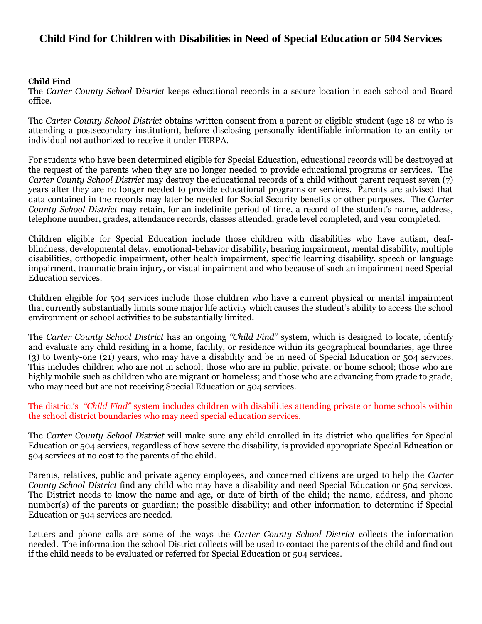## **Child Find for Children with Disabilities in Need of Special Education or 504 Services**

## **Child Find**

The *Carter County School* D*istrict* keeps educational records in a secure location in each school and Board office.

The *Carter County School District* obtains written consent from a parent or eligible student (age 18 or who is attending a postsecondary institution), before disclosing personally identifiable information to an entity or individual not authorized to receive it under FERPA.

For students who have been determined eligible for Special Education, educational records will be destroyed at the request of the parents when they are no longer needed to provide educational programs or services. The *Carter County School District* may destroy the educational records of a child without parent request seven (7) years after they are no longer needed to provide educational programs or services. Parents are advised that data contained in the records may later be needed for Social Security benefits or other purposes. The *Carter County School District* may retain, for an indefinite period of time, a record of the student's name, address, telephone number, grades, attendance records, classes attended, grade level completed, and year completed.

Children eligible for Special Education include those children with disabilities who have autism, deafblindness, developmental delay, emotional-behavior disability, hearing impairment, mental disability, multiple disabilities, orthopedic impairment, other health impairment, specific learning disability, speech or language impairment, traumatic brain injury, or visual impairment and who because of such an impairment need Special Education services.

Children eligible for 504 services include those children who have a current physical or mental impairment that currently substantially limits some major life activity which causes the student's ability to access the school environment or school activities to be substantially limited.

The *Carter County School District* has an ongoing *"Child Find"* system, which is designed to locate, identify and evaluate any child residing in a home, facility, or residence within its geographical boundaries, age three (3) to twenty-one (21) years, who may have a disability and be in need of Special Education or 504 services. This includes children who are not in school; those who are in public, private, or home school; those who are highly mobile such as children who are migrant or homeless; and those who are advancing from grade to grade, who may need but are not receiving Special Education or 504 services.

The district's *"Child Find"* system includes children with disabilities attending private or home schools within the school district boundaries who may need special education services.

The *Carter County School District* will make sure any child enrolled in its district who qualifies for Special Education or 504 services, regardless of how severe the disability, is provided appropriate Special Education or 504 services at no cost to the parents of the child.

Parents, relatives, public and private agency employees, and concerned citizens are urged to help the *Carter County School District* find any child who may have a disability and need Special Education or 504 services. The District needs to know the name and age, or date of birth of the child; the name, address, and phone number(s) of the parents or guardian; the possible disability; and other information to determine if Special Education or 504 services are needed.

Letters and phone calls are some of the ways the *Carter County School District* collects the information needed. The information the school District collects will be used to contact the parents of the child and find out if the child needs to be evaluated or referred for Special Education or 504 services.